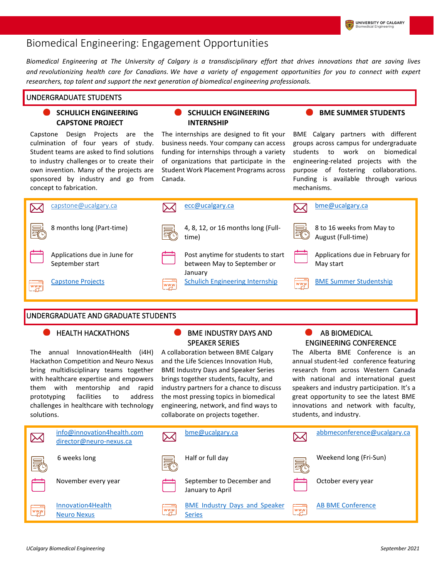# Biomedical Engineering: Engagement Opportunities

Biomedical Engineering at The University of Calgary is a transdisciplinary effort that drives innovations that are saving lives *and revolutionizing health care for Canadians. We have a variety of engagement opportunities for you to connect with expert researchers, top talent and support the next generation of biomedical engineering professionals.*

# UNDERGRADUATE STUDENTS

### **SCHULICH ENGINEERING CAPSTONE PROJECT**

Capstone Design Projects are the culmination of four years of study. Student teams are asked to find solutions to industry challenges or to create their own invention. Many of the projects are sponsored by industry and go from concept to fabrication.

# **SCHULICH ENGINEERING INTERNSHIP**

The internships are designed to fit your business needs. Your company can access funding for internships through a variety of organizations that participate in the Student Work Placement Programs across Canada.

BME Calgary partners with different groups across campus for undergraduate students to work on biomedical engineering-related projects with the purpose of fostering collaborations. Funding is available through various

mechanisms.

**BME SUMMER STUDENTS**



## UNDERGRADUATE AND GRADUATE STUDENTS

The annual Innovation4Health (i4H) Hackathon Competition and Neuro Nexus bring multidisciplinary teams together with healthcare expertise and empowers them with mentorship and rapid prototyping facilities to address challenges in healthcare with technology solutions.

## HEALTH HACKATHONS **BME INDUSTRY DAYS AND** SPEAKER SERIES

A collaboration between BME Calgary and the Life Sciences Innovation Hub, BME Industry Days and Speaker Series brings together students, faculty, and industry partners for a chance to discuss the most pressing topics in biomedical engineering, network, and find ways to collaborate on projects together.

# AB BIOMEDICAL ENGINEERING CONFERENCE

The Alberta BME Conference is an annual student-led conference featuring research from across Western Canada with national and international guest speakers and industry participation. It's a great opportunity to see the latest BME innovations and network with faculty, students, and industry.

| $\boxtimes$ | info@innovation4health.com<br>director@neuro-nexus.ca | ⋉    | bme@ucalgary.ca                                       | $\boxtimes$             | abbmeconference@ucalgary.ca |
|-------------|-------------------------------------------------------|------|-------------------------------------------------------|-------------------------|-----------------------------|
| <u>F</u>    | 6 weeks long                                          | 曑    | Half or full day                                      | 最                       | Weekend long (Fri-Sun)      |
|             | November every year                                   |      | September to December and<br>January to April         |                         | October every year          |
| WWW         | Innovation4Health<br><b>Neuro Nexus</b>               | Lyww | <b>BME Industry Days and Speaker</b><br><b>Series</b> | $\cdots$<br><u>lwww</u> | <b>AB BME Conference</b>    |